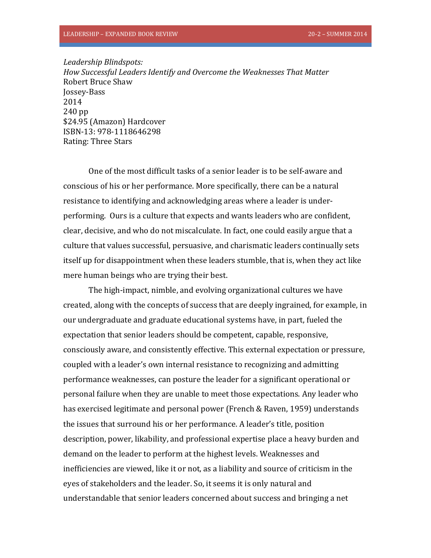*Leadership Blindspots: How Successful Leaders Identify and Overcome the Weaknesses That Matter* Robert Bruce Shaw Jossey-Bass 2014 240 pp \$24.95 (Amazon) Hardcover ISBN-13: 978-1118646298 Rating: Three Stars

One of the most difficult tasks of a senior leader is to be self-aware and conscious of his or her performance. More specifically, there can be a natural resistance to identifying and acknowledging areas where a leader is underperforming. Ours is a culture that expects and wants leaders who are confident, clear, decisive, and who do not miscalculate. In fact, one could easily argue that a culture that values successful, persuasive, and charismatic leaders continually sets itself up for disappointment when these leaders stumble, that is, when they act like mere human beings who are trying their best.

The high-impact, nimble, and evolving organizational cultures we have created, along with the concepts of success that are deeply ingrained, for example, in our undergraduate and graduate educational systems have, in part, fueled the expectation that senior leaders should be competent, capable, responsive, consciously aware, and consistently effective. This external expectation or pressure, coupled with a leader's own internal resistance to recognizing and admitting performance weaknesses, can posture the leader for a significant operational or personal failure when they are unable to meet those expectations. Any leader who has exercised legitimate and personal power (French & Raven, 1959) understands the issues that surround his or her performance. A leader's title, position description, power, likability, and professional expertise place a heavy burden and demand on the leader to perform at the highest levels. Weaknesses and inefficiencies are viewed, like it or not, as a liability and source of criticism in the eyes of stakeholders and the leader. So, it seems it is only natural and understandable that senior leaders concerned about success and bringing a net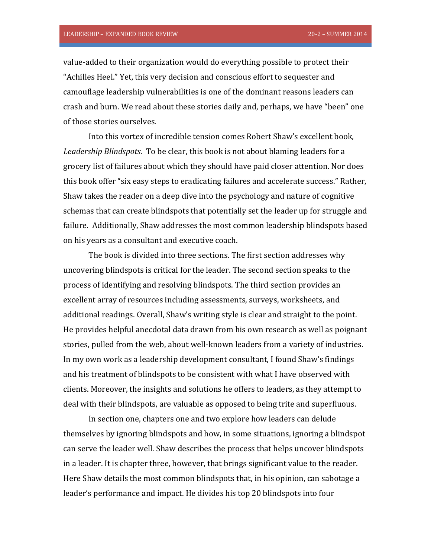value-added to their organization would do everything possible to protect their "Achilles Heel." Yet, this very decision and conscious effort to sequester and camouflage leadership vulnerabilities is one of the dominant reasons leaders can crash and burn. We read about these stories daily and, perhaps, we have "been" one of those stories ourselves.

Into this vortex of incredible tension comes Robert Shaw's excellent book, *Leadership Blindspots*. To be clear, this book is not about blaming leaders for a grocery list of failures about which they should have paid closer attention. Nor does this book offer "six easy steps to eradicating failures and accelerate success." Rather, Shaw takes the reader on a deep dive into the psychology and nature of cognitive schemas that can create blindspots that potentially set the leader up for struggle and failure. Additionally, Shaw addresses the most common leadership blindspots based on his years as a consultant and executive coach.

The book is divided into three sections. The first section addresses why uncovering blindspots is critical for the leader. The second section speaks to the process of identifying and resolving blindspots. The third section provides an excellent array of resources including assessments, surveys, worksheets, and additional readings. Overall, Shaw's writing style is clear and straight to the point. He provides helpful anecdotal data drawn from his own research as well as poignant stories, pulled from the web, about well-known leaders from a variety of industries. In my own work as a leadership development consultant, I found Shaw's findings and his treatment of blindspots to be consistent with what I have observed with clients. Moreover, the insights and solutions he offers to leaders, as they attempt to deal with their blindspots, are valuable as opposed to being trite and superfluous.

In section one, chapters one and two explore how leaders can delude themselves by ignoring blindspots and how, in some situations, ignoring a blindspot can serve the leader well. Shaw describes the process that helps uncover blindspots in a leader. It is chapter three, however, that brings significant value to the reader. Here Shaw details the most common blindspots that, in his opinion, can sabotage a leader's performance and impact. He divides his top 20 blindspots into four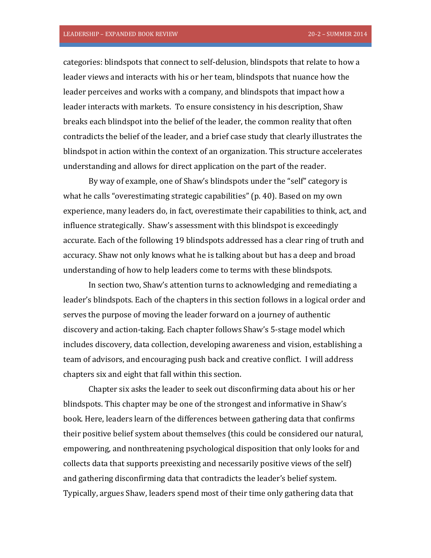categories: blindspots that connect to self-delusion, blindspots that relate to how a leader views and interacts with his or her team, blindspots that nuance how the leader perceives and works with a company, and blindspots that impact how a leader interacts with markets. To ensure consistency in his description, Shaw breaks each blindspot into the belief of the leader, the common reality that often contradicts the belief of the leader, and a brief case study that clearly illustrates the blindspot in action within the context of an organization. This structure accelerates understanding and allows for direct application on the part of the reader.

By way of example, one of Shaw's blindspots under the "self" category is what he calls "overestimating strategic capabilities" (p. 40). Based on my own experience, many leaders do, in fact, overestimate their capabilities to think, act, and influence strategically. Shaw's assessment with this blindspot is exceedingly accurate. Each of the following 19 blindspots addressed has a clear ring of truth and accuracy. Shaw not only knows what he is talking about but has a deep and broad understanding of how to help leaders come to terms with these blindspots.

In section two, Shaw's attention turns to acknowledging and remediating a leader's blindspots. Each of the chapters in this section follows in a logical order and serves the purpose of moving the leader forward on a journey of authentic discovery and action-taking. Each chapter follows Shaw's 5-stage model which includes discovery, data collection, developing awareness and vision, establishing a team of advisors, and encouraging push back and creative conflict. I will address chapters six and eight that fall within this section.

Chapter six asks the leader to seek out disconfirming data about his or her blindspots. This chapter may be one of the strongest and informative in Shaw's book. Here, leaders learn of the differences between gathering data that confirms their positive belief system about themselves (this could be considered our natural, empowering, and nonthreatening psychological disposition that only looks for and collects data that supports preexisting and necessarily positive views of the self) and gathering disconfirming data that contradicts the leader's belief system. Typically, argues Shaw, leaders spend most of their time only gathering data that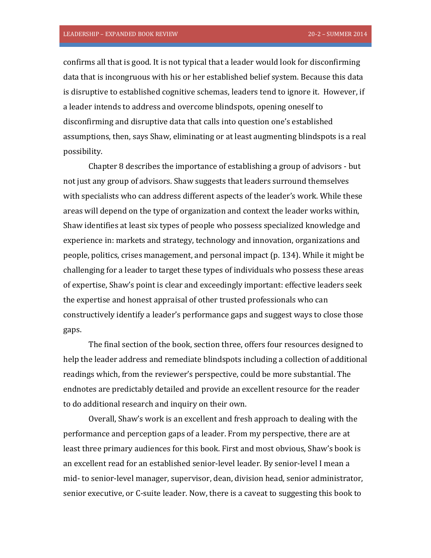confirms all that is good. It is not typical that a leader would look for disconfirming data that is incongruous with his or her established belief system. Because this data is disruptive to established cognitive schemas, leaders tend to ignore it. However, if a leader intends to address and overcome blindspots, opening oneself to disconfirming and disruptive data that calls into question one's established assumptions, then, says Shaw, eliminating or at least augmenting blindspots is a real possibility.

Chapter 8 describes the importance of establishing a group of advisors - but not just any group of advisors. Shaw suggests that leaders surround themselves with specialists who can address different aspects of the leader's work. While these areas will depend on the type of organization and context the leader works within, Shaw identifies at least six types of people who possess specialized knowledge and experience in: markets and strategy, technology and innovation, organizations and people, politics, crises management, and personal impact (p. 134). While it might be challenging for a leader to target these types of individuals who possess these areas of expertise, Shaw's point is clear and exceedingly important: effective leaders seek the expertise and honest appraisal of other trusted professionals who can constructively identify a leader's performance gaps and suggest ways to close those gaps.

The final section of the book, section three, offers four resources designed to help the leader address and remediate blindspots including a collection of additional readings which, from the reviewer's perspective, could be more substantial. The endnotes are predictably detailed and provide an excellent resource for the reader to do additional research and inquiry on their own.

Overall, Shaw's work is an excellent and fresh approach to dealing with the performance and perception gaps of a leader. From my perspective, there are at least three primary audiences for this book. First and most obvious, Shaw's book is an excellent read for an established senior-level leader. By senior-level I mean a mid- to senior-level manager, supervisor, dean, division head, senior administrator, senior executive, or C-suite leader. Now, there is a caveat to suggesting this book to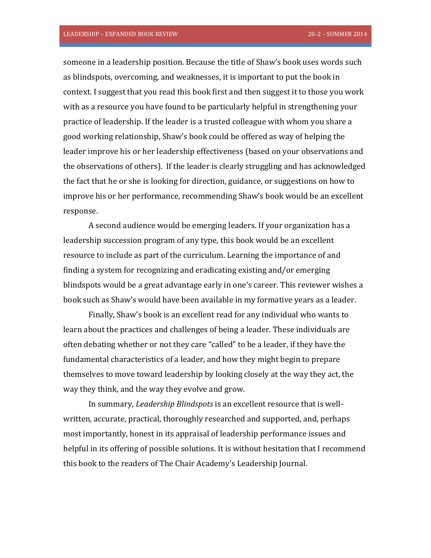someone in a leadership position. Because the title of Shaw's book uses words such as blindspots, overcoming, and weaknesses, it is important to put the book in context. I suggest that you read this book first and then suggest it to those you work with as a resource you have found to be particularly helpful in strengthening your practice of leadership. If the leader is a trusted colleague with whom you share a good working relationship, Shaw's book could be offered as way of helping the leader improve his or her leadership effectiveness (based on your observations and the observations of others). If the leader is clearly struggling and has acknowledged the fact that he or she is looking for direction, guidance, or suggestions on how to improve his or her performance, recommending Shaw's book would be an excellent response.

A second audience would be emerging leaders. If your organization has a leadership succession program of any type, this book would be an excellent resource to include as part of the curriculum. Learning the importance of and finding a system for recognizing and eradicating existing and/or emerging blindspots would be a great advantage early in one's career. This reviewer wishes a book such as Shaw's would have been available in my formative years as a leader.

Finally, Shaw's book is an excellent read for any individual who wants to learn about the practices and challenges of being a leader. These individuals are often debating whether or not they care "called" to be a leader, if they have the fundamental characteristics of a leader, and how they might begin to prepare themselves to move toward leadership by looking closely at the way they act, the way they think, and the way they evolve and grow.

In summary, *Leadership Blindspots* is an excellent resource that is wellwritten, accurate, practical, thoroughly researched and supported, and, perhaps most importantly, honest in its appraisal of leadership performance issues and helpful in its offering of possible solutions. It is without hesitation that I recommend this book to the readers of The Chair Academy's Leadership Journal.